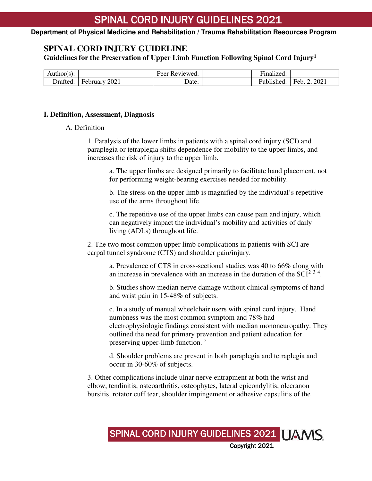**Department of Physical Medicine and Rehabilitation / Trauma Rehabilitation Resources Program**

### **SPINAL CORD INJURY GUIDELINE**

**Guidelines for the Preservation of Upper Limb Function Following Spinal Cord Injury[1](#page-10-0)**

| $-1$ $+1$<br>AUUIOI(S <i>)</i> . |                                              | –<br>∽<br>$P_{\theta}$<br>'eviewed. | $\cdot$ $\cdot$<br>÷-<br>-inalized: |             |
|----------------------------------|----------------------------------------------|-------------------------------------|-------------------------------------|-------------|
| $\mathbf{r}$<br>)rafted:         | 2021<br>$\overline{\phantom{0}}$<br>repruary | Date:                               | antic<br>.<br>lished                | 2021<br>HAM |

#### **I. Definition, Assessment, Diagnosis**

#### A. Definition

1. Paralysis of the lower limbs in patients with a spinal cord injury (SCI) and paraplegia or tetraplegia shifts dependence for mobility to the upper limbs, and increases the risk of injury to the upper limb.

a. The upper limbs are designed primarily to facilitate hand placement, not for performing weight-bearing exercises needed for mobility.

b. The stress on the upper limb is magnified by the individual's repetitive use of the arms throughout life.

c. The repetitive use of the upper limbs can cause pain and injury, which can negatively impact the individual's mobility and activities of daily living (ADLs) throughout life.

2. The two most common upper limb complications in patients with SCI are carpal tunnel syndrome (CTS) and shoulder pain/injury.

a. Prevalence of CTS in cross-sectional studies was 40 to 66% along with an increase in prevalence with an increase in the duration of the  $SCI<sup>2-3-4</sup>$  $SCI<sup>2-3-4</sup>$  $SCI<sup>2-3-4</sup>$  $SCI<sup>2-3-4</sup>$  $SCI<sup>2-3-4</sup>$  $SCI<sup>2-3-4</sup>$  $SCI<sup>2-3-4</sup>$ .

b. Studies show median nerve damage without clinical symptoms of hand and wrist pain in 15-48% of subjects.

c. In a study of manual wheelchair users with spinal cord injury. Hand numbness was the most common symptom and 78% had electrophysiologic findings consistent with median mononeuropathy. They outlined the need for primary prevention and patient education for preserving upper-limb function.<sup>[5](#page-10-4)</sup>

d. Shoulder problems are present in both paraplegia and tetraplegia and occur in 30-60% of subjects.

3. Other complications include ulnar nerve entrapment at both the wrist and elbow, tendinitis, osteoarthritis, osteophytes, lateral epicondylitis, olecranon bursitis, rotator cuff tear, shoulder impingement or adhesive capsulitis of the

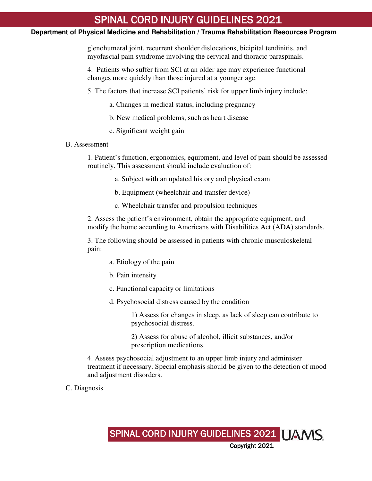#### **Department of Physical Medicine and Rehabilitation / Trauma Rehabilitation Resources Program**

glenohumeral joint, recurrent shoulder dislocations, bicipital tendinitis, and myofascial pain syndrome involving the cervical and thoracic paraspinals.

4. Patients who suffer from SCI at an older age may experience functional changes more quickly than those injured at a younger age.

5. The factors that increase SCI patients' risk for upper limb injury include:

- a. Changes in medical status, including pregnancy
- b. New medical problems, such as heart disease
- c. Significant weight gain

#### B. Assessment

1. Patient's function, ergonomics, equipment, and level of pain should be assessed routinely. This assessment should include evaluation of:

a. Subject with an updated history and physical exam

b. Equipment (wheelchair and transfer device)

c. Wheelchair transfer and propulsion techniques

2. Assess the patient's environment, obtain the appropriate equipment, and modify the home according to Americans with Disabilities Act (ADA) standards.

3. The following should be assessed in patients with chronic musculoskeletal pain:

- a. Etiology of the pain
- b. Pain intensity
- c. Functional capacity or limitations
- d. Psychosocial distress caused by the condition

1) Assess for changes in sleep, as lack of sleep can contribute to psychosocial distress.

2) Assess for abuse of alcohol, illicit substances, and/or prescription medications.

4. Assess psychosocial adjustment to an upper limb injury and administer treatment if necessary. Special emphasis should be given to the detection of mood and adjustment disorders.

C. Diagnosis

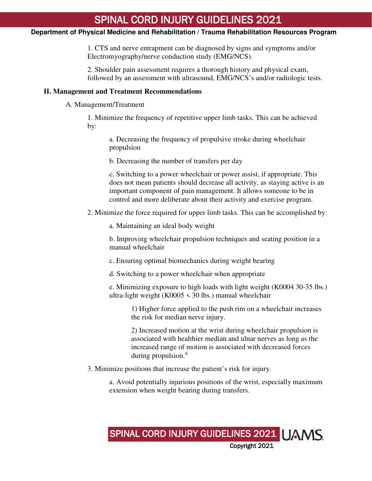#### **Department of Physical Medicine and Rehabilitation / Trauma Rehabilitation Resources Program**

1. CTS and nerve entrapment can be diagnosed by signs and symptoms and/or Electromyography/nerve conduction study (EMG/NCS).

2. Shoulder pain assessment requires a thorough history and physical exam, followed by an assessment with ultrasound, EMG/NCS's and/or radiologic tests.

#### **II. Management and Treatment Recommendations**

A. Management/Treatment

1. Minimize the frequency of repetitive upper limb tasks. This can be achieved by:

a. Decreasing the frequency of propulsive stroke during wheelchair propulsion

b. Decreasing the number of transfers per day

c. Switching to a power wheelchair or power assist, if appropriate. This does not mean patients should decrease all activity, as staying active is an important component of pain management. It allows someone to be in control and more deliberate about their activity and exercise program.

2. Minimize the force required for upper limb tasks. This can be accomplished by:

a. Maintaining an ideal body weight

b. Improving wheelchair propulsion techniques and seating position in a manual wheelchair

c. Ensuring optimal biomechanics during weight bearing

d. Switching to a power wheelchair when appropriate

e. Minimizing exposure to high loads with light weight (K0004 30-35 lbs.) ultra-light weight (K0005  $\leq$  30 lbs.) manual wheelchair

> 1) Higher force applied to the push rim on a wheelchair increases the risk for median nerve injury.

2) Increased motion at the wrist during wheelchair propulsion is associated with healthier median and ulnar nerves as long as the increased range of motion is associated with decreased forces during propulsion.<sup>[6](#page-10-5)</sup>

3. Minimize positions that increase the patient's risk for injury.

a. Avoid potentially injurious positions of the wrist, especially maximum extension when weight bearing during transfers.

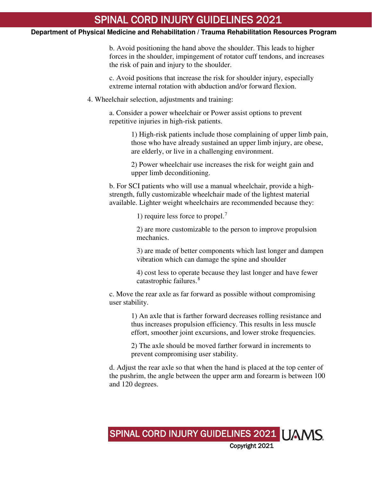#### **Department of Physical Medicine and Rehabilitation / Trauma Rehabilitation Resources Program**

b. Avoid positioning the hand above the shoulder. This leads to higher forces in the shoulder, impingement of rotator cuff tendons, and increases the risk of pain and injury to the shoulder.

c. Avoid positions that increase the risk for shoulder injury, especially extreme internal rotation with abduction and/or forward flexion.

4. Wheelchair selection, adjustments and training:

a. Consider a power wheelchair or Power assist options to prevent repetitive injuries in high-risk patients.

> 1) High-risk patients include those complaining of upper limb pain, those who have already sustained an upper limb injury, are obese, are elderly, or live in a challenging environment.

2) Power wheelchair use increases the risk for weight gain and upper limb deconditioning.

b. For SCI patients who will use a manual wheelchair, provide a highstrength, fully customizable wheelchair made of the lightest material available. Lighter weight wheelchairs are recommended because they:

1) require less force to propel.[7](#page-10-6)

2) are more customizable to the person to improve propulsion mechanics.

3) are made of better components which last longer and dampen vibration which can damage the spine and shoulder

4) cost less to operate because they last longer and have fewer catastrophic failures.<sup>[8](#page-10-7)</sup>

c. Move the rear axle as far forward as possible without compromising user stability.

> 1) An axle that is farther forward decreases rolling resistance and thus increases propulsion efficiency. This results in less muscle effort, smoother joint excursions, and lower stroke frequencies.

2) The axle should be moved farther forward in increments to prevent compromising user stability.

d. Adjust the rear axle so that when the hand is placed at the top center of the pushrim, the angle between the upper arm and forearm is between 100 and 120 degrees.

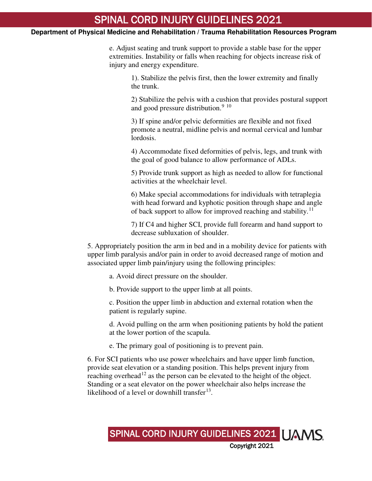#### **Department of Physical Medicine and Rehabilitation / Trauma Rehabilitation Resources Program**

e. Adjust seating and trunk support to provide a stable base for the upper extremities. Instability or falls when reaching for objects increase risk of injury and energy expenditure.

> 1). Stabilize the pelvis first, then the lower extremity and finally the trunk.

2) Stabilize the pelvis with a cushion that provides postural support and good pressure distribution. $910$  $910$ 

3) If spine and/or pelvic deformities are flexible and not fixed promote a neutral, midline pelvis and normal cervical and lumbar lordosis.

4) Accommodate fixed deformities of pelvis, legs, and trunk with the goal of good balance to allow performance of ADLs.

5) Provide trunk support as high as needed to allow for functional activities at the wheelchair level.

6) Make special accommodations for individuals with tetraplegia with head forward and kyphotic position through shape and angle of back support to allow for improved reaching and stability.<sup>[11](#page-11-2)</sup>

7) If C4 and higher SCI, provide full forearm and hand support to decrease subluxation of shoulder.

5. Appropriately position the arm in bed and in a mobility device for patients with upper limb paralysis and/or pain in order to avoid decreased range of motion and associated upper limb pain/injury using the following principles:

a. Avoid direct pressure on the shoulder.

b. Provide support to the upper limb at all points.

c. Position the upper limb in abduction and external rotation when the patient is regularly supine.

d. Avoid pulling on the arm when positioning patients by hold the patient at the lower portion of the scapula.

e. The primary goal of positioning is to prevent pain.

6. For SCI patients who use power wheelchairs and have upper limb function, provide seat elevation or a standing position. This helps prevent injury from reaching overhead<sup>[12](#page-11-3)</sup> as the person can be elevated to the height of the object. Standing or a seat elevator on the power wheelchair also helps increase the likelihood of a level or downhill transfer $^{13}$  $^{13}$  $^{13}$ .

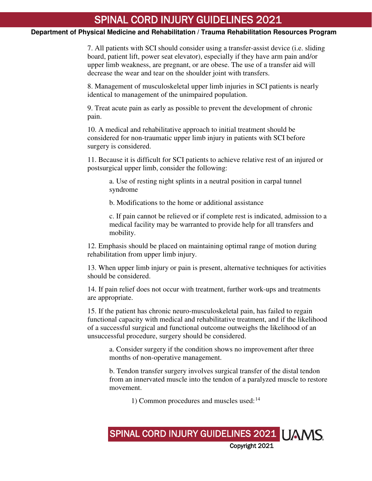#### **Department of Physical Medicine and Rehabilitation / Trauma Rehabilitation Resources Program**

7. All patients with SCI should consider using a transfer-assist device (i.e. sliding board, patient lift, power seat elevator), especially if they have arm pain and/or upper limb weakness, are pregnant, or are obese. The use of a transfer aid will decrease the wear and tear on the shoulder joint with transfers.

8. Management of musculoskeletal upper limb injuries in SCI patients is nearly identical to management of the unimpaired population.

9. Treat acute pain as early as possible to prevent the development of chronic pain.

10. A medical and rehabilitative approach to initial treatment should be considered for non-traumatic upper limb injury in patients with SCI before surgery is considered.

11. Because it is difficult for SCI patients to achieve relative rest of an injured or postsurgical upper limb, consider the following:

a. Use of resting night splints in a neutral position in carpal tunnel syndrome

b. Modifications to the home or additional assistance

c. If pain cannot be relieved or if complete rest is indicated, admission to a medical facility may be warranted to provide help for all transfers and mobility.

12. Emphasis should be placed on maintaining optimal range of motion during rehabilitation from upper limb injury.

13. When upper limb injury or pain is present, alternative techniques for activities should be considered.

14. If pain relief does not occur with treatment, further work-ups and treatments are appropriate.

15. If the patient has chronic neuro-musculoskeletal pain, has failed to regain functional capacity with medical and rehabilitative treatment, and if the likelihood of a successful surgical and functional outcome outweighs the likelihood of an unsuccessful procedure, surgery should be considered.

a. Consider surgery if the condition shows no improvement after three months of non-operative management.

b. Tendon transfer surgery involves surgical transfer of the distal tendon from an innervated muscle into the tendon of a paralyzed muscle to restore movement.

1) Common procedures and muscles used:<sup>[14](#page-11-5)</sup>

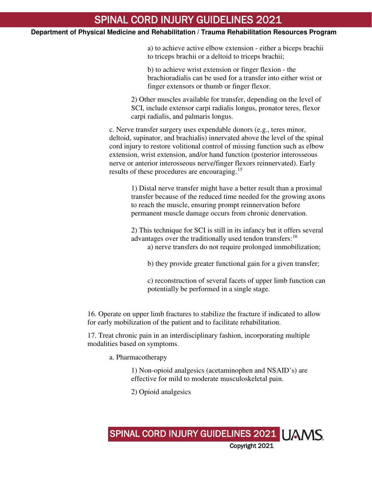#### **Department of Physical Medicine and Rehabilitation / Trauma Rehabilitation Resources Program**

a) to achieve active elbow extension - either a biceps brachii to triceps brachii or a deltoid to triceps brachii;

b) to achieve wrist extension or finger flexion - the brachioradialis can be used for a transfer into either wrist or finger extensors or thumb or finger flexor.

2) Other muscles available for transfer, depending on the level of SCI, include extensor carpi radialis longus, pronator teres, flexor carpi radialis, and palmaris longus.

c. Nerve transfer surgery uses expendable donors (e.g., teres minor, deltoid, supinator, and brachialis) innervated above the level of the spinal cord injury to restore volitional control of missing function such as elbow extension, wrist extension, and/or hand function (posterior interosseous nerve or anterior interosseous nerve/finger flexors reinnervated). Early results of these procedures are encouraging.<sup>[15](#page-11-6)</sup>

> 1) Distal nerve transfer might have a better result than a proximal transfer because of the reduced time needed for the growing axons to reach the muscle, ensuring prompt reinnervation before permanent muscle damage occurs from chronic denervation.

2) This technique for SCI is still in its infancy but it offers several advantages over the traditionally used tendon transfers:<sup>[16](#page-11-7)</sup> a) nerve transfers do not require prolonged immobilization;

b) they provide greater functional gain for a given transfer;

c) reconstruction of several facets of upper limb function can potentially be performed in a single stage.

16. Operate on upper limb fractures to stabilize the fracture if indicated to allow for early mobilization of the patient and to facilitate rehabilitation.

17. Treat chronic pain in an interdisciplinary fashion, incorporating multiple modalities based on symptoms.

a. Pharmacotherapy

1) Non-opioid analgesics (acetaminophen and NSAID's) are effective for mild to moderate musculoskeletal pain.

SPINAL CORD INJURY GUIDELINES 2021 | JAMS

Copyright 2021

2) Opioid analgesics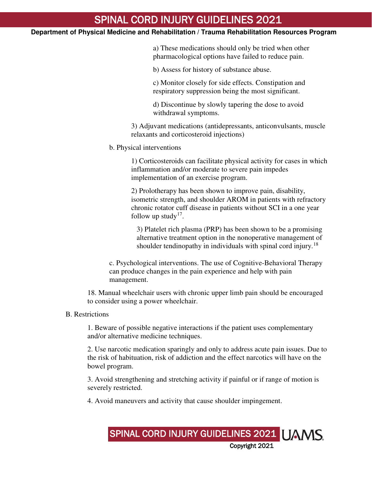#### **Department of Physical Medicine and Rehabilitation / Trauma Rehabilitation Resources Program**

a) These medications should only be tried when other pharmacological options have failed to reduce pain.

b) Assess for history of substance abuse.

c) Monitor closely for side effects. Constipation and respiratory suppression being the most significant.

d) Discontinue by slowly tapering the dose to avoid withdrawal symptoms.

3) Adjuvant medications (antidepressants, anticonvulsants, muscle relaxants and corticosteroid injections)

b. Physical interventions

1) Corticosteroids can facilitate physical activity for cases in which inflammation and/or moderate to severe pain impedes implementation of an exercise program.

2) Prolotherapy has been shown to improve pain, disability, isometric strength, and shoulder AROM in patients with refractory chronic rotator cuff disease in patients without SCI in a one year follow up study<sup>[17](#page-11-8)</sup>.

3) Platelet rich plasma (PRP) has been shown to be a promising alternative treatment option in the nonoperative management of shoulder tendinopathy in individuals with spinal cord injury.<sup>[18](#page-11-9)</sup>

c. Psychological interventions. The use of Cognitive-Behavioral Therapy can produce changes in the pain experience and help with pain management.

18. Manual wheelchair users with chronic upper limb pain should be encouraged to consider using a power wheelchair.

#### B. Restrictions

1. Beware of possible negative interactions if the patient uses complementary and/or alternative medicine techniques.

2. Use narcotic medication sparingly and only to address acute pain issues. Due to the risk of habituation, risk of addiction and the effect narcotics will have on the bowel program.

3. Avoid strengthening and stretching activity if painful or if range of motion is severely restricted.

4. Avoid maneuvers and activity that cause shoulder impingement.

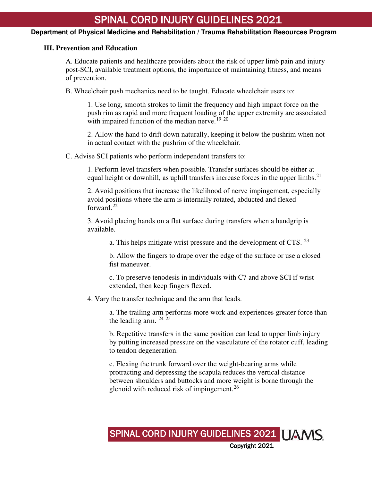#### **Department of Physical Medicine and Rehabilitation / Trauma Rehabilitation Resources Program**

#### **III. Prevention and Education**

A. Educate patients and healthcare providers about the risk of upper limb pain and injury post-SCI, available treatment options, the importance of maintaining fitness, and means of prevention.

B. Wheelchair push mechanics need to be taught. Educate wheelchair users to:

1. Use long, smooth strokes to limit the frequency and high impact force on the push rim as rapid and more frequent loading of the upper extremity are associated with impaired function of the median nerve.<sup>[19](#page-11-10) [20](#page-11-11)</sup>

2. Allow the hand to drift down naturally, keeping it below the pushrim when not in actual contact with the pushrim of the wheelchair.

C. Advise SCI patients who perform independent transfers to:

1. Perform level transfers when possible. Transfer surfaces should be either at equal height or downhill, as uphill transfers increase forces in the upper limbs.<sup>[21](#page-11-12)</sup>

2. Avoid positions that increase the likelihood of nerve impingement, especially avoid positions where the arm is internally rotated, abducted and flexed forward. $^{22}$  $^{22}$  $^{22}$ 

3. Avoid placing hands on a flat surface during transfers when a handgrip is available.

a. This helps mitigate wrist pressure and the development of CTS.  $^{23}$  $^{23}$  $^{23}$ 

b. Allow the fingers to drape over the edge of the surface or use a closed fist maneuver.

c. To preserve tenodesis in individuals with C7 and above SCI if wrist extended, then keep fingers flexed.

4. Vary the transfer technique and the arm that leads.

a. The trailing arm performs more work and experiences greater force than the leading arm.  $24\overline{25}$  $24\overline{25}$  $24\overline{25}$  $24\overline{25}$ 

b. Repetitive transfers in the same position can lead to upper limb injury by putting increased pressure on the vasculature of the rotator cuff, leading to tendon degeneration.

c. Flexing the trunk forward over the weight-bearing arms while protracting and depressing the scapula reduces the vertical distance between shoulders and buttocks and more weight is borne through the glenoid with reduced risk of impingement.[26](#page-11-17)

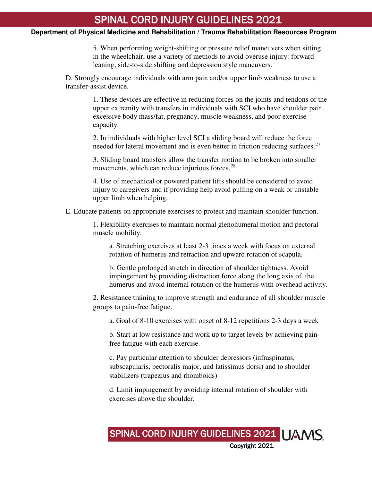#### **Department of Physical Medicine and Rehabilitation / Trauma Rehabilitation Resources Program**

5. When performing weight-shifting or pressure relief maneuvers when sitting in the wheelchair, use a variety of methods to avoid overuse injury: forward leaning, side-to-side shifting and depression style maneuvers.

D. Strongly encourage individuals with arm pain and/or upper limb weakness to use a transfer-assist device.

> 1. These devices are effective in reducing forces on the joints and tendons of the upper extremity with transfers in individuals with SCI who have shoulder pain, excessive body mass/fat, pregnancy, muscle weakness, and poor exercise capacity.

2. In individuals with higher level SCI a sliding board will reduce the force needed for lateral movement and is even better in friction reducing surfaces.<sup>[27](#page-11-18)</sup>

3. Sliding board transfers allow the transfer motion to be broken into smaller movements, which can reduce injurious forces. $28$ 

4. Use of mechanical or powered patient lifts should be considered to avoid injury to caregivers and if providing help avoid pulling on a weak or unstable upper limb when helping.

E. Educate patients on appropriate exercises to protect and maintain shoulder function.

1. Flexibility exercises to maintain normal glenohumeral motion and pectoral muscle mobility.

a. Stretching exercises at least 2-3 times a week with focus on external rotation of humerus and retraction and upward rotation of scapula.

b. Gentle prolonged stretch in direction of shoulder tightness. Avoid impingement by providing distraction force along the long axis of the humerus and avoid internal rotation of the humerus with overhead activity.

2. Resistance training to improve strength and endurance of all shoulder muscle groups to pain-free fatigue.

a. Goal of 8-10 exercises with onset of 8-12 repetitions 2-3 days a week

b. Start at low resistance and work up to target levels by achieving painfree fatigue with each exercise.

c. Pay particular attention to shoulder depressors (infraspinatus, subscapularis, pectoralis major, and latissimus dorsi) and to shoulder stabilizers (trapezius and rhomboids)

d. Limit impingement by avoiding internal rotation of shoulder with exercises above the shoulder.

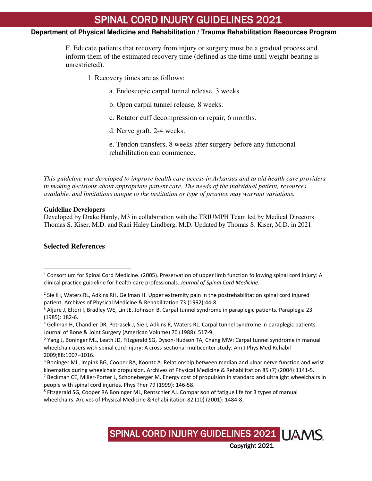#### **Department of Physical Medicine and Rehabilitation / Trauma Rehabilitation Resources Program**

F. Educate patients that recovery from injury or surgery must be a gradual process and inform them of the estimated recovery time (defined as the time until weight bearing is unrestricted).

1. Recovery times are as follows:

a. Endoscopic carpal tunnel release, 3 weeks.

b. Open carpal tunnel release, 8 weeks.

c. Rotator cuff decompression or repair, 6 months.

d. Nerve graft, 2-4 weeks.

e. Tendon transfers, 8 weeks after surgery before any functional rehabilitation can commence.

*This guideline was developed to improve health care access in Arkansas and to aid health care providers in making decisions about appropriate patient care. The needs of the individual patient, resources available, and limitations unique to the institution or type of practice may warrant variations.*

#### **Guideline Developers**

Developed by Drake Hardy, M3 in collaboration with the TRIUMPH Team led by Medical Directors Thomas S. Kiser, M.D. and Rani Haley Lindberg, M.D. Updated by Thomas S. Kiser, M.D. in 2021.

#### **Selected References**

-

<span id="page-10-7"></span><sup>&</sup>lt;sup>8</sup> Fitzgerald SG, Cooper RA Boninger ML, Rentschler AJ. Comparison of fatigue life for 3 types of manual wheelchairs. Arcives of Physical Medicine &Rehabilitation 82 (10) (2001): 1484-8.



<span id="page-10-0"></span><sup>&</sup>lt;sup>1</sup> Consortium for Spinal Cord Medicine. (2005). Preservation of upper limb function following spinal cord injury: A clinical practice guideline for health-care professionals. *Journal of Spinal Cord Medicine.*

<span id="page-10-1"></span><sup>2</sup> Sie IH, Waters RL, Adkins RH, Gellman H. Upper extremity pain in the postrehabilitation spinal cord injured patient. Archives of Physical Medicine & Rehabilitation 73 (1992):44-8.

<span id="page-10-2"></span><sup>&</sup>lt;sup>3</sup> Aljure J, Eltori I, Bradley WE, Lin JE, Johnson B. Carpal tunnel syndrome in paraplegic patients. Paraplegia 23 (1985): 182-6.

<span id="page-10-3"></span><sup>4</sup> Gellman H, Chandler DR, Petrasek J, Sie I, Adkins R, Waters RL. Carpal tunnel syndrome in paraplegic patients. Journal of Bone & Joint Surgery (American Volume) 70 (1988): 517-9.

<span id="page-10-4"></span><sup>&</sup>lt;sup>5</sup> Yang J, Boninger ML, Leath JD, Fitzgerald SG, Dyson-Hudson TA, Chang MW: Carpal tunnel syndrome in manual wheelchair users with spinal cord injury: A cross-sectional multicenter study. Am J Phys Med Rehabil 2009;88:1007–1016.

<span id="page-10-5"></span><sup>6</sup> Boninger ML, Impink BG, Cooper RA, Koontz A. Relationship between median and ulnar nerve function and wrist kinematics during wheelchair propulsion. Archives of Physical Medicine & Rehabilitation 85 (7) (2004):1141-5.

<span id="page-10-6"></span> $<sup>7</sup>$  Beckman CE, Miller-Porter L, Schoneberger M. Energy cost of propulsion in standard and ultralight wheelchairs in</sup> people with spinal cord injuries. Phys Ther 79 (1999): 146-58.